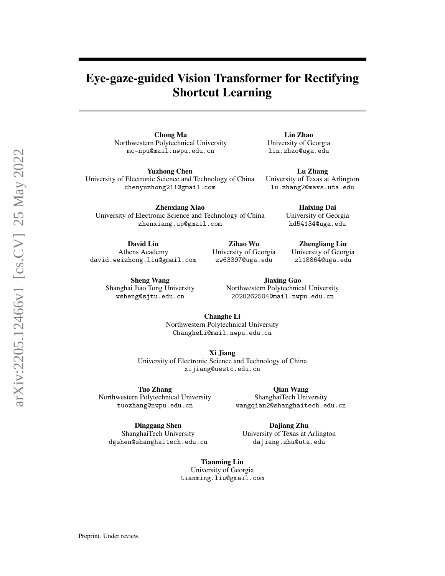# Eye-gaze-guided Vision Transformer for Rectifying Shortcut Learning

Chong Ma Northwestern Polytechnical University mc-npu@mail.nwpu.edu.cn

Yuzhong Chen University of Electronic Science and Technology of China chenyuzhong211@gmail.com

University of Electronic Science and Technology of China zhenxiang.up@gmail.com

Athens Academy

Sheng Wang Shanghai Jiao Tong University wsheng@sjtu.edu.cn

Jiaxing Gao Northwestern Polytechnical University 2020262504@mail.nwpu.edu.cn

Changhe Li Northwestern Polytechnical University ChangheLi@mail.nwpu.edu.cn

Xi Jiang University of Electronic Science and Technology of China xijiang@uestc.edu.cn

Tuo Zhang Northwestern Polytechnical University tuozhang@nwpu.edu.cn

dgshen@shanghaitech.edu.cn

Dinggang Shen ShanghaiTech University

Dajiang Zhu University of Texas at Arlington dajiang.zhu@uta.edu

Qian Wang ShanghaiTech University wangqian2@shanghaitech.edu.cn

Tianming Liu University of Georgia tianming.liu@gmail.com

Zhenxiang Xiao David Liu david.weizhong.liu@gmail.com

Haixing Dai University of Georgia hd54134@uga.edu

Lu Zhang University of Texas at Arlington lu.zhang2@mavs.uta.edu

Lin Zhao University of Georgia lin.zhao@uga.edu

> Zhengliang Liu University of Georgia zl18864@uga.edu

Zihao Wu University of Georgia zw63397@uga.edu

Preprint. Under review.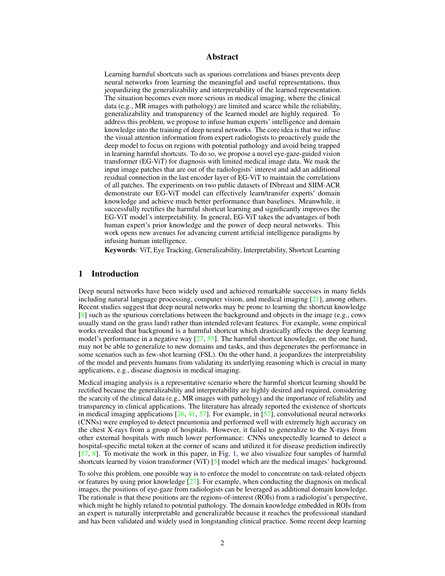## Abstract

Learning harmful shortcuts such as spurious correlations and biases prevents deep neural networks from learning the meaningful and useful representations, thus jeopardizing the generalizability and interpretability of the learned representation. The situation becomes even more serious in medical imaging, where the clinical data (e.g., MR images with pathology) are limited and scarce while the reliability, generalizability and transparency of the learned model are highly required. To address this problem, we propose to infuse human experts' intelligence and domain knowledge into the training of deep neural networks. The core idea is that we infuse the visual attention information from expert radiologists to proactively guide the deep model to focus on regions with potential pathology and avoid being trapped in learning harmful shortcuts. To do so, we propose a novel eye-gaze-guided vision transformer (EG-ViT) for diagnosis with limited medical image data. We mask the input image patches that are out of the radiologists' interest and add an additional residual connection in the last encoder layer of EG-ViT to maintain the correlations of all patches. The experiments on two public datasets of INbreast and SIIM-ACR demonstrate our EG-ViT model can effectively learn/transfer experts' domain knowledge and achieve much better performance than baselines. Meanwhile, it successfully rectifies the harmful shortcut learning and significantly improves the EG-ViT model's interpretability. In general, EG-ViT takes the advantages of both human expert's prior knowledge and the power of deep neural networks. This work opens new avenues for advancing current artificial intelligence paradigms by infusing human intelligence.

Keywords: ViT, Eye Tracking, Generalizability, Interpretability, Shortcut Learning

## 1 Introduction

Deep neural networks have been widely used and achieved remarkable successes in many fields including natural language processing, computer vision, and medical imaging  $[21]$ , among others. Recent studies suggest that deep neural networks may be prone to learning the shortcut knowledge  $[8]$  such as the spurious correlations between the background and objects in the image (e.g., cows usually stand on the grass land) rather than intended relevant features. For example, some empirical works revealed that background is a harmful shortcut which drastically affects the deep learning model's performance in a negative way  $[27, 55]$  $[27, 55]$  $[27, 55]$ . The harmful shortcut knowledge, on the one hand, may not be able to generalize to new domains and tasks, and thus degenerates the performance in some scenarios such as few-shot learning (FSL). On the other hand, it jeopardizes the interpretability of the model and prevents humans from validating its underlying reasoning which is crucial in many applications, e.g., disease diagnosis in medical imaging.

Medical imaging analysis is a representative scenario where the harmful shortcut learning should be rectified because the generalizability and interpretability are highly desired and required, considering the scarcity of the clinical data (e.g., MR images with pathology) and the importance of reliability and transparency in clinical applications. The literature has already reported the existence of shortcuts in medical imaging applications  $[26, 41, 57]$  $[26, 41, 57]$  $[26, 41, 57]$  $[26, 41, 57]$  $[26, 41, 57]$ . For example, in [\[57\]](#page-13-1), convolutional neural networks (CNNs) were employed to detect pneumonia and performed well with extremely high accuracy on the chest X-rays from a group of hospitals. However, it failed to generalize to the X-rays from other external hospitals with much lower performance: CNNs unexpectedly learned to detect a hospital-specific metal token at the corner of scans and utilized it for disease prediction indirectly [\[57,](#page-13-1) [8\]](#page-11-1). To motivate the work in this paper, in Fig. [1,](#page-2-0) we also visualize four samples of harmful shortcuts learned by vision transformer (ViT) [\[5\]](#page-10-0) model which are the medical images' background.

To solve this problem, one possible way is to enforce the model to concentrate on task-related objects or features by using prior knowledge  $[27]$ . For example, when conducting the diagnosis on medical images, the positions of eye-gaze from radiologists can be leveraged as additional domain knowledge. The rationale is that these positions are the regions-of-interest (ROIs) from a radiologist's perspective, which might be highly related to potential pathology. The domain knowledge embedded in ROIs from an expert is naturally interpretable and generalizable because it reaches the professional standard and has been validated and widely used in longstanding clinical practice. Some recent deep learning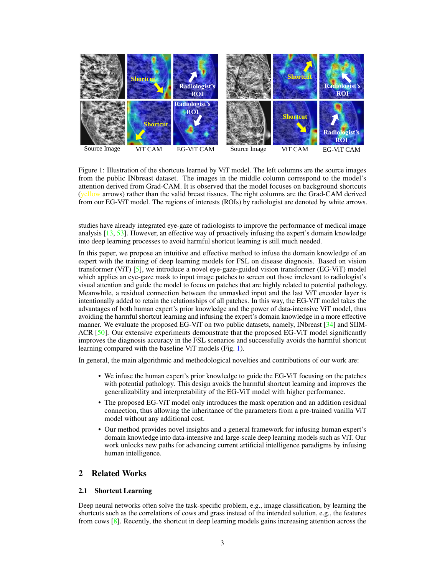

<span id="page-2-0"></span>Figure 1: Illustration of the shortcuts learned by ViT model. The left columns are the source images from the public INbreast dataset. The images in the middle column correspond to the model's attention derived from Grad-CAM. It is observed that the model focuses on background shortcuts (yellow arrows) rather than the valid breast tissues. The right columns are the Grad-CAM derived from our EG-ViT model. The regions of interests (ROIs) by radiologist are denoted by white arrows.

studies have already integrated eye-gaze of radiologists to improve the performance of medical image analysis [\[13,](#page-11-2) [53\]](#page-13-2). However, an effective way of proactively infusing the expert's domain knowledge into deep learning processes to avoid harmful shortcut learning is still much needed.

In this paper, we propose an intuitive and effective method to infuse the domain knowledge of an expert with the training of deep learning models for FSL on disease diagnosis. Based on vision transformer (ViT) [\[5\]](#page-10-0), we introduce a novel eye-gaze-guided vision transformer (EG-ViT) model which applies an eye-gaze mask to input image patches to screen out those irrelevant to radiologist's visual attention and guide the model to focus on patches that are highly related to potential pathology. Meanwhile, a residual connection between the unmasked input and the last ViT encoder layer is intentionally added to retain the relationships of all patches. In this way, the EG-ViT model takes the advantages of both human expert's prior knowledge and the power of data-intensive ViT model, thus avoiding the harmful shortcut learning and infusing the expert's domain knowledge in a more effective manner. We evaluate the proposed EG-ViT on two public datasets, namely, INbreast [\[34\]](#page-12-3) and SIIM-ACR [\[50\]](#page-13-3). Our extensive experiments demonstrate that the proposed EG-ViT model significantly improves the diagnosis accuracy in the FSL scenarios and successfully avoids the harmful shortcut learning compared with the baseline ViT models (Fig. [1\)](#page-2-0).

In general, the main algorithmic and methodological novelties and contributions of our work are:

- We infuse the human expert's prior knowledge to guide the EG-ViT focusing on the patches with potential pathology. This design avoids the harmful shortcut learning and improves the generalizability and interpretability of the EG-ViT model with higher performance.
- The proposed EG-ViT model only introduces the mask operation and an addition residual connection, thus allowing the inheritance of the parameters from a pre-trained vanilla ViT model without any additional cost.
- Our method provides novel insights and a general framework for infusing human expert's domain knowledge into data-intensive and large-scale deep learning models such as ViT. Our work unlocks new paths for advancing current artificial intelligence paradigms by infusing human intelligence.

## 2 Related Works

#### 2.1 Shortcut Learning

Deep neural networks often solve the task-specific problem, e.g., image classification, by learning the shortcuts such as the correlations of cows and grass instead of the intended solution, e.g., the features from cows [\[8\]](#page-11-1). Recently, the shortcut in deep learning models gains increasing attention across the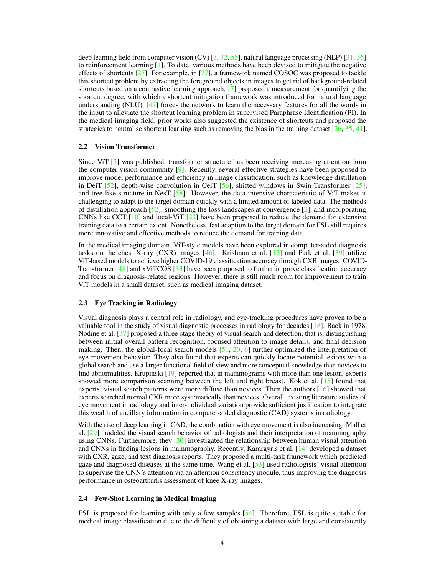deep learning field from computer vision (CV)  $[3, 32, 55]$  $[3, 32, 55]$  $[3, 32, 55]$  $[3, 32, 55]$  $[3, 32, 55]$ , natural language processing (NLP)  $[31, 36]$  $[31, 36]$  $[31, 36]$ to reinforcement learning [\[1\]](#page-10-2). To date, various methods have been devised to mitigate the negative effects of shortcuts  $[27]$ . For example, in  $[27]$ , a framework named COSOC was proposed to tackle this shortcut problem by extracting the foreground objects in images to get rid of background-related shortcuts based on a contrastive learning approach. [\[7\]](#page-10-3) proposed a measurement for quantifying the shortcut degree, with which a shortcut mitigation framework was introduced for natural language understanding (NLU). [\[47\]](#page-13-4) forces the network to learn the necessary features for all the words in the input to alleviate the shortcut learning problem in supervised Paraphrase Identification (PI). In the medical imaging field, prior works also suggested the existence of shortcuts and proposed the strategies to neutralise shortcut learning such as removing the bias in the training dataset  $[26, 35, 41]$  $[26, 35, 41]$  $[26, 35, 41]$  $[26, 35, 41]$  $[26, 35, 41]$ .

#### 2.2 Vision Transformer

Since ViT [\[5\]](#page-10-0) was published, transformer structure has been receiving increasing attention from the computer vision community  $[9]$ . Recently, several effective strategies have been proposed to improve model performance and efficiency in image classification, such as knowledge distillation in DeiT [\[52\]](#page-13-5), depth-wise convolution in CeiT [\[56\]](#page-13-6), shifted windows in Swin Transformer [\[25\]](#page-11-4), and tree-like structure in NesT [\[58\]](#page-13-7). However, the data-intensive characteristic of ViT makes it challenging to adapt to the target domain quickly with a limited amount of labeled data. The methods of distillation approach  $[52]$ , smoothing the loss landscapes at convergence  $[2]$ , and incorporating CNNs like CCT  $[10]$  and local-ViT  $[23]$  have been proposed to reduce the demand for extensive training data to a certain extent. Nonetheless, fast adaption to the target domain for FSL still requires more innovative and effective methods to reduce the demand for training data.

In the medical imaging domain, ViT-style models have been explored in computer-aided diagnosis tasks on the chest X-ray (CXR) images [\[46\]](#page-13-8). Krishnan et al. [\[17\]](#page-11-7) and Park et al. [\[39\]](#page-12-8) utilize ViT-based models to achieve higher COVID-19 classification accuracy through CXR images. COVID-Transformer [\[48\]](#page-13-9) and xViTCOS [\[33\]](#page-12-9) have been proposed to further improve classification accuracy and focus on diagnosis-related regions. However, there is still much room for improvement to train ViT models in a small dataset, such as medical imaging dataset.

### 2.3 Eye Tracking in Radiology

Visual diagnosis plays a central role in radiology, and eye-tracking procedures have proven to be a valuable tool in the study of visual diagnostic processes in radiology for decades [\[18\]](#page-11-8). Back in 1978, Nodine et al. [\[37\]](#page-12-10) proposed a three-stage theory of visual search and detection, that is, distinguishing between initial overall pattern recognition, focused attention to image details, and final decision making. Then, the global-focal search models [\[51,](#page-13-10) [20,](#page-11-9) [6\]](#page-10-5) further optimized the interpretation of eye-movement behavior. They also found that experts can quickly locate potential lesions with a global search and use a larger functional field of view and more conceptual knowledge than novices to find abnormalities. Krupinski [\[19\]](#page-11-10) reported that in mammograms with more than one lesion, experts showed more comparison scanning between the left and right breast. Kok et al. [\[15\]](#page-11-11) found that experts' visual search patterns were more diffuse than novices. Then the authors [\[16\]](#page-11-12) showed that experts searched normal CXR more systematically than novices. Overall, existing literature studies of eye movement in radiology and inter-individual variation provide sufficient justification to integrate this wealth of ancillary information in computer-aided diagnostic (CAD) systems in radiology.

With the rise of deep learning in CAD, the combination with eye movement is also increasing. Mall et al. [\[29\]](#page-12-11) modeled the visual search behavior of radiologists and their interpretation of mammography using CNNs. Furthermore, they  $[30]$  investigated the relationship between human visual attention and CNNs in finding lesions in mammography. Recently, Karargyris et al. [\[14\]](#page-11-13) developed a dataset with CXR, gaze, and text diagnosis reports. They proposed a multi-task framework which predicted gaze and diagnosed diseases at the same time. Wang et al. [\[53\]](#page-13-2) used radiologists' visual attention to supervise the CNN's attention via an attention consistency module, thus improving the diagnosis performance in osteoarthritis assessment of knee X-ray images.

#### 2.4 Few-Shot Learning in Medical Imaging

FSL is proposed for learning with only a few samples [\[54\]](#page-13-11). Therefore, FSL is quite suitable for medical image classification due to the difficulty of obtaining a dataset with large and consistently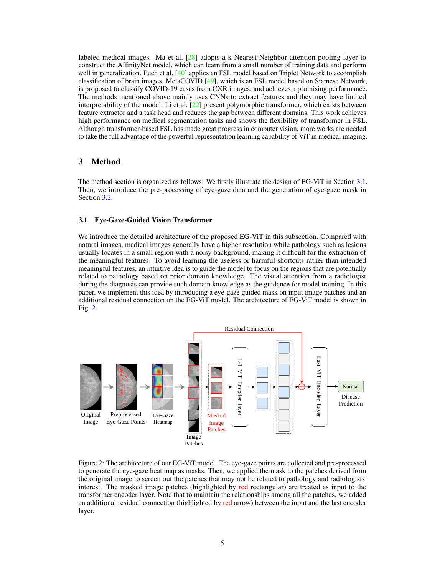labeled medical images. Ma et al.  $[28]$  adopts a k-Nearest-Neighbor attention pooling layer to construct the AffinityNet model, which can learn from a small number of training data and perform well in generalization. Puch et al. [\[40\]](#page-12-14) applies an FSL model based on Triplet Network to accomplish classification of brain images. MetaCOVID [\[49\]](#page-13-12), which is an FSL model based on Siamese Network, is proposed to classify COVID-19 cases from CXR images, and achieves a promising performance. The methods mentioned above mainly uses CNNs to extract features and they may have limited interpretability of the model. Li et al. [\[22\]](#page-11-14) present polymorphic transformer, which exists between feature extractor and a task head and reduces the gap between different domains. This work achieves high performance on medical segmentation tasks and shows the flexibility of transformer in FSL. Although transformer-based FSL has made great progress in computer vision, more works are needed to take the full advantage of the powerful representation learning capability of ViT in medical imaging.

## 3 Method

The method section is organized as follows: We firstly illustrate the design of EG-ViT in Section [3.1.](#page-4-0) Then, we introduce the pre-processing of eye-gaze data and the generation of eye-gaze mask in Section [3.2.](#page-5-0)

#### <span id="page-4-0"></span>3.1 Eye-Gaze-Guided Vision Transformer

We introduce the detailed architecture of the proposed EG-ViT in this subsection. Compared with natural images, medical images generally have a higher resolution while pathology such as lesions usually locates in a small region with a noisy background, making it difficult for the extraction of the meaningful features. To avoid learning the useless or harmful shortcuts rather than intended meaningful features, an intuitive idea is to guide the model to focus on the regions that are potentially related to pathology based on prior domain knowledge. The visual attention from a radiologist during the diagnosis can provide such domain knowledge as the guidance for model training. In this paper, we implement this idea by introducing a eye-gaze guided mask on input image patches and an additional residual connection on the EG-ViT model. The architecture of EG-ViT model is shown in Fig. [2.](#page-4-1)



<span id="page-4-1"></span>Figure 2: The architecture of our EG-ViT model. The eye-gaze points are collected and pre-processed to generate the eye-gaze heat map as masks. Then, we applied the mask to the patches derived from the original image to screen out the patches that may not be related to pathology and radiologists' interest. The masked image patches (highlighted by red rectangular) are treated as input to the transformer encoder layer. Note that to maintain the relationships among all the patches, we added an additional residual connection (highlighted by red arrow) between the input and the last encoder layer.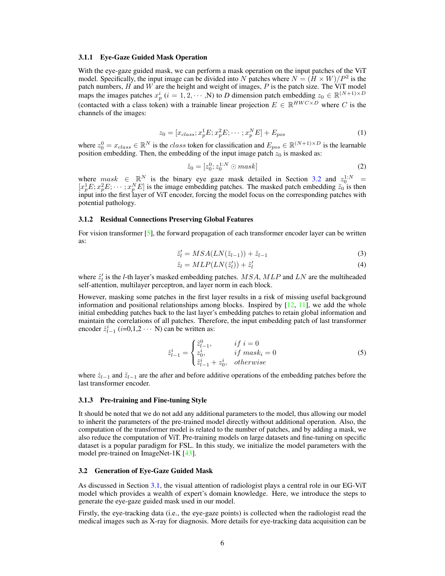#### 3.1.1 Eye-Gaze Guided Mask Operation

With the eye-gaze guided mask, we can perform a mask operation on the input patches of the ViT model. Specifically, the input image can be divided into N patches where  $N = (H \times W)/P^2$  is the patch numbers,  $H$  and  $W$  are the height and weight of images,  $P$  is the patch size. The ViT model maps the images patches  $x_p^i$  ( $i = 1, 2, \cdots, N$ ) to *D* dimension patch embedding  $z_0 \in \mathbb{R}^{(N+1) \times D}$ (contacted with a class token) with a trainable linear projection  $E \in \mathbb{R}^{HWC \times D}$  where C is the channels of the images:

$$
z_0 = [x_{class}; x_p^1 E; x_p^2 E; \cdots; x_p^N E] + E_{pos}
$$
 (1)

where  $z_0^0 = x_{class} \in \mathbb{R}^N$  is the *class* token for classification and  $E_{pos} \in \mathbb{R}^{(N+1) \times D}$  is the learnable position embedding. Then, the embedding of the input image patch  $z_0$  is masked as:

$$
\tilde{z}_0 = [z_0^0; z_0^{1:N} \odot mask]
$$
\n(2)

where  $mask \in \mathbb{R}^N$  is the binary eye gaze mask detailed in Section [3.2](#page-5-0) and  $z_0^{1:N}$  =  $[x_p^1E; x_p^2E; \dots; x_p^N E]$  is the image embedding patches. The masked patch embedding  $\tilde{z}_0$  is then input into the first layer of ViT encoder, forcing the model focus on the corresponding patches with potential pathology.

#### 3.1.2 Residual Connections Preserving Global Features

For vision transformer  $[5]$ , the forward propagation of each transformer encoder layer can be written as:

$$
\tilde{z}'_l = MSA(LN(\tilde{z}_{l-1})) + \tilde{z}_{l-1} \tag{3}
$$

$$
\tilde{z}_l = MLP(LN(\tilde{z}_l')) + \tilde{z}_l' \tag{4}
$$

where  $\tilde{z}'_l$  is the *l*-th layer's masked embedding patches.  $MSA$ ,  $MLP$  and  $LN$  are the multiheaded self-attention, multilayer perceptron, and layer norm in each block.

However, masking some patches in the first layer results in a risk of missing useful background information and positional relationships among blocks. Inspired by  $[12, 11]$  $[12, 11]$  $[12, 11]$ , we add the whole initial embedding patches back to the last layer's embedding patches to retain global information and maintain the correlations of all patches. Therefore, the input embedding patch of last transformer encoder  $\hat{z}_{l-1}^i$  (*i*=0,1,2 · · · N) can be written as:

$$
\hat{z}_{l-1}^{i} = \begin{cases}\n\tilde{z}_{l-1}^{0}, & if \ i = 0 \\
z_0^{i}, & if \ mask_i = 0 \\
\tilde{z}_{l-1}^{i} + z_0^{i}, & otherwise\n\end{cases}
$$
\n(5)

where  $\hat{z}_{l-1}$  and  $\tilde{z}_{l-1}$  are the after and before additive operations of the embedding patches before the last transformer encoder.

#### 3.1.3 Pre-training and Fine-tuning Style

It should be noted that we do not add any additional parameters to the model, thus allowing our model to inherit the parameters of the pre-trained model directly without additional operation. Also, the computation of the transformer model is related to the number of patches, and by adding a mask, we also reduce the computation of ViT. Pre-training models on large datasets and fine-tuning on specific dataset is a popular paradigm for FSL. In this study, we initialize the model parameters with the model pre-trained on ImageNet-1K [\[43\]](#page-12-15).

#### <span id="page-5-0"></span>3.2 Generation of Eye-Gaze Guided Mask

As discussed in Section [3.1,](#page-4-0) the visual attention of radiologist plays a central role in our EG-ViT model which provides a wealth of expert's domain knowledge. Here, we introduce the steps to generate the eye-gaze guided mask used in our model.

Firstly, the eye-tracking data (i.e., the eye-gaze points) is collected when the radiologist read the medical images such as X-ray for diagnosis. More details for eye-tracking data acquisition can be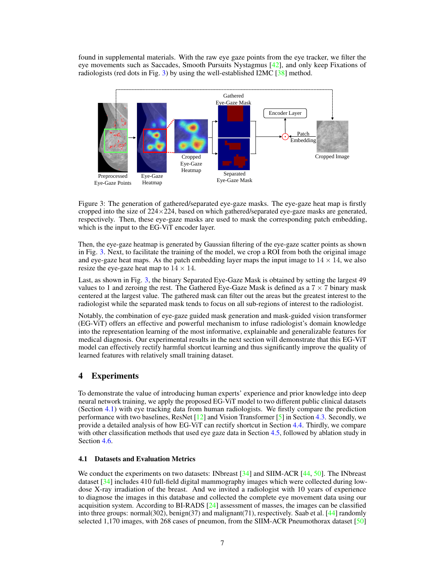found in supplemental materials. With the raw eye gaze points from the eye tracker, we filter the eye movements such as Saccades, Smooth Pursuits Nystagmus [\[42\]](#page-12-16), and only keep Fixations of radiologists (red dots in Fig. [3\)](#page-6-0) by using the well-established I2MC [\[38\]](#page-12-17) method.



<span id="page-6-0"></span>Figure 3: The generation of gathered/separated eye-gaze masks. The eye-gaze heat map is firstly cropped into the size of  $224 \times 224$ , based on which gathered/separated eye-gaze masks are generated, respectively. Then, these eye-gaze masks are used to mask the corresponding patch embedding, which is the input to the EG-ViT encoder layer.

Then, the eye-gaze heatmap is generated by Gaussian filtering of the eye-gaze scatter points as shown in Fig. [3.](#page-6-0) Next, to facilitate the training of the model, we crop a ROI from both the original image and eye-gaze heat maps. As the patch embedding layer maps the input image to  $14 \times 14$ , we also resize the eye-gaze heat map to  $14 \times 14$ .

Last, as shown in Fig. [3,](#page-6-0) the binary Separated Eye-Gaze Mask is obtained by setting the largest 49 values to 1 and zeroing the rest. The Gathered Eye-Gaze Mask is defined as a  $7 \times 7$  binary mask centered at the largest value. The gathered mask can filter out the areas but the greatest interest to the radiologist while the separated mask tends to focus on all sub-regions of interest to the radiologist.

Notably, the combination of eye-gaze guided mask generation and mask-guided vision transformer (EG-ViT) offers an effective and powerful mechanism to infuse radiologist's domain knowledge into the representation learning of the most informative, explainable and generalizable features for medical diagnosis. Our experimental results in the next section will demonstrate that this EG-ViT model can effectively rectify harmful shortcut learning and thus significantly improve the quality of learned features with relatively small training dataset.

## 4 Experiments

To demonstrate the value of introducing human experts' experience and prior knowledge into deep neural network training, we apply the proposed EG-ViT model to two different public clinical datasets (Section [4.1\)](#page-6-1) with eye tracking data from human radiologists. We firstly compare the prediction performance with two baselines, ResNet [\[12\]](#page-11-15) and Vision Transformer [\[5\]](#page-10-0) in Section [4.3.](#page-7-0) Secondly, we provide a detailed analysis of how EG-ViT can rectify shortcut in Section [4.4.](#page-8-0) Thirdly, we compare with other classification methods that used eye gaze data in Section [4.5,](#page-9-0) followed by ablation study in Section [4.6.](#page-9-1)

#### <span id="page-6-1"></span>4.1 Datasets and Evaluation Metrics

We conduct the experiments on two datasets: INbreast [\[34\]](#page-12-3) and SIIM-ACR [\[44,](#page-13-13) [50\]](#page-13-3). The INbreast dataset [\[34\]](#page-12-3) includes 410 full-field digital mammography images which were collected during lowdose X-ray irradiation of the breast. And we invited a radiologist with 10 years of experience to diagnose the images in this database and collected the complete eye movement data using our acquisition system. According to BI-RADS [\[24\]](#page-11-17) assessment of masses, the images can be classified into three groups: normal(302), benign(37) and malignant(71), respectively. Saab et al. [\[44\]](#page-13-13) randomly selected 1,170 images, with 268 cases of pneumon, from the SIIM-ACR Pneumothorax dataset [\[50\]](#page-13-3)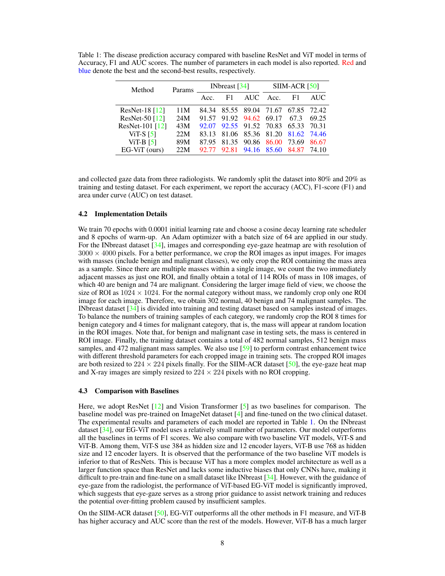<span id="page-7-1"></span>Table 1: The disease prediction accuracy compared with baseline ResNet and ViT model in terms of Accuracy, F1 and AUC scores. The number of parameters in each model is also reported. Red and blue denote the best and the second-best results, respectively.

| Method           | Params | INbreast $\lceil 34 \rceil$ |                               |                               | $SIIM-ACR [50]$ |       |       |
|------------------|--------|-----------------------------|-------------------------------|-------------------------------|-----------------|-------|-------|
|                  |        | Acc                         | F1.                           | AUC Acc.                      |                 | F1    | AUC.  |
| ResNet-18 $[12]$ | 11M    |                             | 84.34 85.55 89.04 71.67 67.85 |                               |                 |       | 72.42 |
| ResNet-50 [12]   | 24M    |                             | 91.57 91.92 94.62 69.17       |                               |                 | 67.3  | 69.25 |
| ResNet-101 [12]  | 43M    |                             | 92.07 92.55 91.52 70.83 65.33 |                               |                 |       | 70.31 |
| ViT-S $[5]$      | 22M    | 83.13                       |                               | 81.06 85.36 81.20 81.62 74.46 |                 |       |       |
| ViT-B $[5]$      | 89M    |                             | 87.95 81.35 90.86 86.00       |                               |                 | 73.69 | 86.67 |
| EG-ViT (ours)    | 22M    | 92.77                       | 92.81                         |                               | 94.16 85.60     | 84.87 | 74.10 |

and collected gaze data from three radiologists. We randomly split the dataset into 80% and 20% as training and testing dataset. For each experiment, we report the accuracy (ACC), F1-score (F1) and area under curve (AUC) on test dataset.

#### 4.2 Implementation Details

We train 70 epochs with 0.0001 initial learning rate and choose a cosine decay learning rate scheduler and 8 epochs of warm-up. An Adam optimizer with a batch size of 64 are applied in our study. For the INbreast dataset [\[34\]](#page-12-3), images and corresponding eye-gaze heatmap are with resolution of  $3000 \times 4000$  pixels. For a better performance, we crop the ROI images as input images. For images with masses (include benign and malignant classes), we only crop the ROI containing the mass area as a sample. Since there are multiple masses within a single image, we count the two immediately adjacent masses as just one ROI, and finally obtain a total of 114 ROIs of mass in 108 images, of which 40 are benign and 74 are malignant. Considering the larger image field of view, we choose the size of ROI as  $1024 \times 1024$ . For the normal category without mass, we randomly crop only one ROI image for each image. Therefore, we obtain 302 normal, 40 benign and 74 malignant samples. The INbreast dataset [\[34\]](#page-12-3) is divided into training and testing dataset based on samples instead of images. To balance the numbers of training samples of each category, we randomly crop the ROI 8 times for benign category and 4 times for malignant category, that is, the mass will appear at random location in the ROI images. Note that, for benign and malignant case in testing sets, the mass is centered in ROI image. Finally, the training dataset contains a total of 482 normal samples, 512 benign mass samples, and 472 malignant mass samples. We also use [\[59\]](#page-13-14) to perform contrast enhancement twice with different threshold parameters for each cropped image in training sets. The cropped ROI images are both resized to  $224 \times 224$  pixels finally. For the SIIM-ACR dataset [\[50\]](#page-13-3), the eye-gaze heat map and X-ray images are simply resized to  $224 \times 224$  pixels with no ROI cropping.

#### <span id="page-7-0"></span>4.3 Comparison with Baselines

Here, we adopt ResNet [\[12\]](#page-11-15) and Vision Transformer [\[5\]](#page-10-0) as two baselines for comparison. The baseline model was pre-trained on ImageNet dataset [\[4\]](#page-10-6) and fine-tuned on the two clinical dataset. The experimental results and parameters of each model are reported in Table [1.](#page-7-1) On the INbreast dataset [\[34\]](#page-12-3), our EG-ViT model uses a relatively small number of parameters. Our model outperforms all the baselines in terms of F1 scores. We also compare with two baseline ViT models, ViT-S and ViT-B. Among them, ViT-S use 384 as hidden size and 12 encoder layers, ViT-B use 768 as hidden size and 12 encoder layers. It is observed that the performance of the two baseline ViT models is inferior to that of ResNets. This is because ViT has a more complex model architecture as well as a larger function space than ResNet and lacks some inductive biases that only CNNs have, making it difficult to pre-train and fine-tune on a small dataset like INbreast [\[34\]](#page-12-3). However, with the guidance of eye-gaze from the radiologist, the performance of ViT-based EG-ViT model is significantly improved, which suggests that eye-gaze serves as a strong prior guidance to assist network training and reduces the potential over-fitting problem caused by insufficient samples.

On the SIIM-ACR dataset [\[50\]](#page-13-3), EG-ViT outperforms all the other methods in F1 measure, and ViT-B has higher accuracy and AUC score than the rest of the models. However, ViT-B has a much larger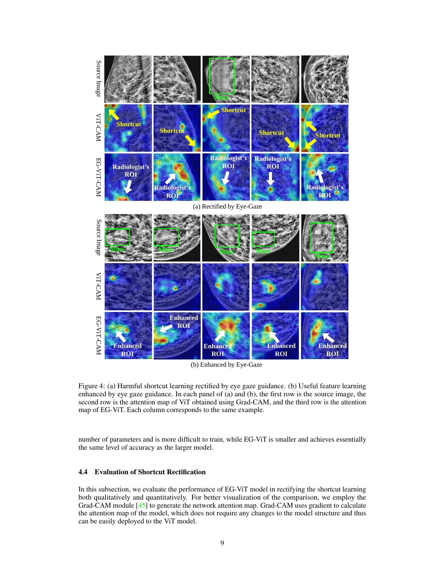

(b) Enhanced by Eye-Gaze

<span id="page-8-1"></span>Figure 4: (a) Harmful shortcut learning rectified by eye gaze guidance. (b) Useful feature learning enhanced by eye gaze guidance. In each panel of (a) and (b), the first row is the source image, the second row is the attention map of ViT obtained using Grad-CAM, and the third row is the attention map of EG-ViT. Each column corresponds to the same example.

number of parameters and is more difficult to train, while EG-ViT is smaller and achieves essentially the same level of accuracy as the larger model.

## <span id="page-8-0"></span>4.4 Evaluation of Shortcut Rectification

In this subsection, we evaluate the performance of EG-ViT model in rectifying the shortcut learning both qualitatively and quantitatively. For better visualization of the comparison, we employ the Grad-CAM module [\[45\]](#page-13-15) to generate the network attention map. Grad-CAM uses gradient to calculate the attention map of the model, which does not require any changes to the model structure and thus can be easily deployed to the ViT model.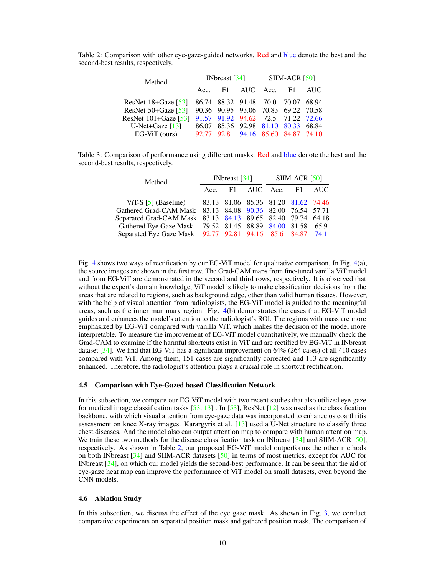| Method                 |     | INbreast $[34]$ |             | $SIIM-ACR [50]$ |                                     |       |  |
|------------------------|-----|-----------------|-------------|-----------------|-------------------------------------|-------|--|
|                        | Acc | F1.             | AUC Acc. F1 |                 |                                     | AUC.  |  |
| $ResNet-18+Gaze$ [53]  |     |                 |             |                 | 86.74 88.32 91.48 70.0 70.07        | 68.94 |  |
| $ResNet-50+Gaze [53]$  |     |                 |             |                 | 90.36 90.95 93.06 70.83 69.22 70.58 |       |  |
| $ResNet-101+Gaze$ [53] |     |                 |             |                 | 91.57 91.92 94.62 72.5 71.22 72.66  |       |  |
| U-Net+Gaze $[13]$      |     |                 |             |                 | 86.07 85.36 92.98 81.10 80.33 68.84 |       |  |
| $EG-ViT$ (ours)        |     |                 |             |                 | 92.77 92.81 94.16 85.60 84.87 74.10 |       |  |

<span id="page-9-2"></span>Table 2: Comparison with other eye-gaze-guided networks. Red and blue denote the best and the second-best results, respectively.

Table 3: Comparison of performance using different masks. Red and blue denote the best and the second-best results, respectively.

<span id="page-9-3"></span>

| Method                                                      | INbreast $\left[34\right]$ |  |                    | $SIIM-ACR [50]$ |  |      |  |
|-------------------------------------------------------------|----------------------------|--|--------------------|-----------------|--|------|--|
|                                                             | Acc                        |  | F1 AUC Acc. F1 AUC |                 |  |      |  |
| ViT-S [5] (Baseline) 83.13 81.06 85.36 81.20 81.62 74.46    |                            |  |                    |                 |  |      |  |
| Gathered Grad-CAM Mask 83.13 84.08 90.36 82.00 76.54 57.71  |                            |  |                    |                 |  |      |  |
| Separated Grad-CAM Mask 83.13 84.13 89.65 82.40 79.74 64.18 |                            |  |                    |                 |  |      |  |
| Gathered Eye Gaze Mask 79.52 81.45 88.89 84.00 81.58        |                            |  |                    |                 |  | 65.9 |  |
| Separated Eye Gaze Mask 92.77 92.81 94.16 85.6 84.87 74.1   |                            |  |                    |                 |  |      |  |

Fig. [4](#page-8-1) shows two ways of rectification by our EG-ViT model for qualitative comparison. In Fig. [4\(](#page-8-1)a), the source images are shown in the first row. The Grad-CAM maps from fine-tuned vanilla ViT model and from EG-ViT are demonstrated in the second and third rows, respectively. It is observed that without the expert's domain knowledge, ViT model is likely to make classification decisions from the areas that are related to regions, such as background edge, other than valid human tissues. However, with the help of visual attention from radiologists, the EG-ViT model is guided to the meaningful areas, such as the inner mammary region. Fig. [4\(](#page-8-1)b) demonstrates the cases that EG-ViT model guides and enhances the model's attention to the radiologist's ROI. The regions with mass are more emphasized by EG-ViT compared with vanilla ViT, which makes the decision of the model more interpretable. To measure the improvement of EG-ViT model quantitatively, we manually check the Grad-CAM to examine if the harmful shortcuts exist in ViT and are rectified by EG-ViT in INbreast dataset  $[34]$ . We find that EG-ViT has a significant improvement on  $64\%$  (264 cases) of all 410 cases compared with ViT. Among them, 151 cases are significantly corrected and 113 are significantly enhanced. Therefore, the radiologist's attention plays a crucial role in shortcut rectification.

#### <span id="page-9-0"></span>4.5 Comparison with Eye-Gazed based Classification Network

In this subsection, we compare our EG-ViT model with two recent studies that also utilized eye-gaze for medical image classification tasks  $[53, 13]$  $[53, 13]$  $[53, 13]$ . In  $[53]$ , ResNet  $[12]$  was used as the classification backbone, with which visual attention from eye-gaze data was incorporated to enhance osteoarthritis assessment on knee X-ray images. Karargyris et al. [\[13\]](#page-11-2) used a U-Net structure to classify three chest diseases. And the model also can output attention map to compare with human attention map. We train these two methods for the disease classification task on INbreast  $[34]$  and SIIM-ACR  $[50]$ , respectively. As shown in Table [2,](#page-9-2) our proposed EG-ViT model outperforms the other methods on both INbreast [\[34\]](#page-12-3) and SIIM-ACR datasets [\[50\]](#page-13-3) in terms of most metrics, except for AUC for INbreast [\[34\]](#page-12-3), on which our model yields the second-best performance. It can be seen that the aid of eye-gaze heat map can improve the performance of ViT model on small datasets, even beyond the CNN models.

#### <span id="page-9-1"></span>4.6 Ablation Study

In this subsection, we discuss the effect of the eye gaze mask. As shown in Fig. [3,](#page-6-0) we conduct comparative experiments on separated position mask and gathered position mask. The comparison of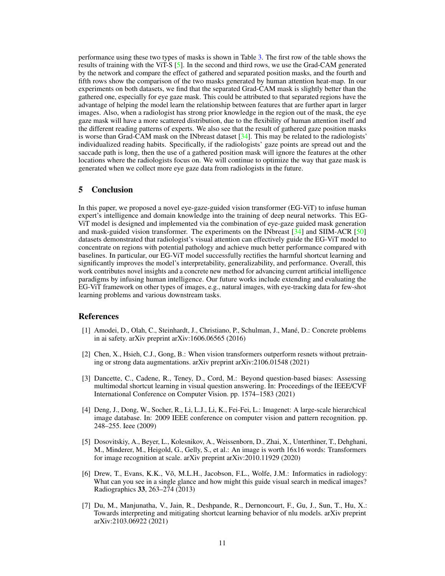performance using these two types of masks is shown in Table [3.](#page-9-3) The first row of the table shows the results of training with the ViT-S [\[5\]](#page-10-0). In the second and third rows, we use the Grad-CAM generated by the network and compare the effect of gathered and separated position masks, and the fourth and fifth rows show the comparison of the two masks generated by human attention heat-map. In our experiments on both datasets, we find that the separated Grad-CAM mask is slightly better than the gathered one, especially for eye gaze mask. This could be attributed to that separated regions have the advantage of helping the model learn the relationship between features that are further apart in larger images. Also, when a radiologist has strong prior knowledge in the region out of the mask, the eye gaze mask will have a more scattered distribution, due to the flexibility of human attention itself and the different reading patterns of experts. We also see that the result of gathered gaze position masks is worse than Grad-CAM mask on the INbreast dataset [\[34\]](#page-12-3). This may be related to the radiologists' individualized reading habits. Specifically, if the radiologists' gaze points are spread out and the saccade path is long, then the use of a gathered position mask will ignore the features at the other locations where the radiologists focus on. We will continue to optimize the way that gaze mask is generated when we collect more eye gaze data from radiologists in the future.

## 5 Conclusion

In this paper, we proposed a novel eye-gaze-guided vision transformer (EG-ViT) to infuse human expert's intelligence and domain knowledge into the training of deep neural networks. This EG-ViT model is designed and implemented via the combination of eye-gaze guided mask generation and mask-guided vision transformer. The experiments on the INbreast [\[34\]](#page-12-3) and SIIM-ACR [\[50\]](#page-13-3) datasets demonstrated that radiologist's visual attention can effectively guide the EG-ViT model to concentrate on regions with potential pathology and achieve much better performance compared with baselines. In particular, our EG-ViT model successfully rectifies the harmful shortcut learning and significantly improves the model's interpretability, generalizability, and performance. Overall, this work contributes novel insights and a concrete new method for advancing current artificial intelligence paradigms by infusing human intelligence. Our future works include extending and evaluating the EG-ViT framework on other types of images, e.g., natural images, with eye-tracking data for few-shot learning problems and various downstream tasks.

## References

- <span id="page-10-2"></span>[1] Amodei, D., Olah, C., Steinhardt, J., Christiano, P., Schulman, J., Mané, D.: Concrete problems in ai safety. arXiv preprint arXiv:1606.06565 (2016)
- <span id="page-10-4"></span>[2] Chen, X., Hsieh, C.J., Gong, B.: When vision transformers outperform resnets without pretraining or strong data augmentations. arXiv preprint arXiv:2106.01548 (2021)
- <span id="page-10-1"></span>[3] Dancette, C., Cadene, R., Teney, D., Cord, M.: Beyond question-based biases: Assessing multimodal shortcut learning in visual question answering. In: Proceedings of the IEEE/CVF International Conference on Computer Vision. pp. 1574–1583 (2021)
- <span id="page-10-6"></span>[4] Deng, J., Dong, W., Socher, R., Li, L.J., Li, K., Fei-Fei, L.: Imagenet: A large-scale hierarchical image database. In: 2009 IEEE conference on computer vision and pattern recognition. pp. 248–255. Ieee (2009)
- <span id="page-10-0"></span>[5] Dosovitskiy, A., Beyer, L., Kolesnikov, A., Weissenborn, D., Zhai, X., Unterthiner, T., Dehghani, M., Minderer, M., Heigold, G., Gelly, S., et al.: An image is worth 16x16 words: Transformers for image recognition at scale. arXiv preprint arXiv:2010.11929 (2020)
- <span id="page-10-5"></span>[6] Drew, T., Evans, K.K., Võ, M.L.H., Jacobson, F.L., Wolfe, J.M.: Informatics in radiology: What can you see in a single glance and how might this guide visual search in medical images? Radiographics 33, 263–274 (2013)
- <span id="page-10-3"></span>[7] Du, M., Manjunatha, V., Jain, R., Deshpande, R., Dernoncourt, F., Gu, J., Sun, T., Hu, X.: Towards interpreting and mitigating shortcut learning behavior of nlu models. arXiv preprint arXiv:2103.06922 (2021)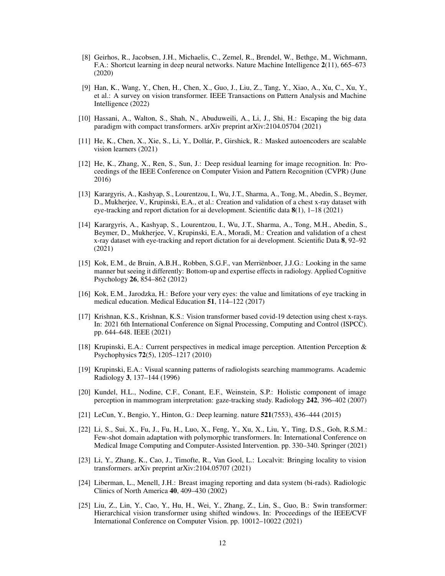- <span id="page-11-1"></span>[8] Geirhos, R., Jacobsen, J.H., Michaelis, C., Zemel, R., Brendel, W., Bethge, M., Wichmann, F.A.: Shortcut learning in deep neural networks. Nature Machine Intelligence 2(11), 665–673 (2020)
- <span id="page-11-3"></span>[9] Han, K., Wang, Y., Chen, H., Chen, X., Guo, J., Liu, Z., Tang, Y., Xiao, A., Xu, C., Xu, Y., et al.: A survey on vision transformer. IEEE Transactions on Pattern Analysis and Machine Intelligence (2022)
- <span id="page-11-5"></span>[10] Hassani, A., Walton, S., Shah, N., Abuduweili, A., Li, J., Shi, H.: Escaping the big data paradigm with compact transformers. arXiv preprint arXiv:2104.05704 (2021)
- <span id="page-11-16"></span>[11] He, K., Chen, X., Xie, S., Li, Y., Dollár, P., Girshick, R.: Masked autoencoders are scalable vision learners (2021)
- <span id="page-11-15"></span>[12] He, K., Zhang, X., Ren, S., Sun, J.: Deep residual learning for image recognition. In: Proceedings of the IEEE Conference on Computer Vision and Pattern Recognition (CVPR) (June 2016)
- <span id="page-11-2"></span>[13] Karargyris, A., Kashyap, S., Lourentzou, I., Wu, J.T., Sharma, A., Tong, M., Abedin, S., Beymer, D., Mukherjee, V., Krupinski, E.A., et al.: Creation and validation of a chest x-ray dataset with eye-tracking and report dictation for ai development. Scientific data 8(1), 1–18 (2021)
- <span id="page-11-13"></span>[14] Karargyris, A., Kashyap, S., Lourentzou, I., Wu, J.T., Sharma, A., Tong, M.H., Abedin, S., Beymer, D., Mukherjee, V., Krupinski, E.A., Moradi, M.: Creation and validation of a chest x-ray dataset with eye-tracking and report dictation for ai development. Scientific Data 8, 92–92 (2021)
- <span id="page-11-11"></span>[15] Kok, E.M., de Bruin, A.B.H., Robben, S.G.F., van Merriënboer, J.J.G.: Looking in the same manner but seeing it differently: Bottom-up and expertise effects in radiology. Applied Cognitive Psychology 26, 854–862 (2012)
- <span id="page-11-12"></span>[16] Kok, E.M., Jarodzka, H.: Before your very eyes: the value and limitations of eye tracking in medical education. Medical Education 51, 114–122 (2017)
- <span id="page-11-7"></span>[17] Krishnan, K.S., Krishnan, K.S.: Vision transformer based covid-19 detection using chest x-rays. In: 2021 6th International Conference on Signal Processing, Computing and Control (ISPCC). pp. 644–648. IEEE (2021)
- <span id="page-11-8"></span>[18] Krupinski, E.A.: Current perspectives in medical image perception. Attention Perception & Psychophysics 72(5), 1205–1217 (2010)
- <span id="page-11-10"></span>[19] Krupinski, E.A.: Visual scanning patterns of radiologists searching mammograms. Academic Radiology 3, 137–144 (1996)
- <span id="page-11-9"></span>[20] Kundel, H.L., Nodine, C.F., Conant, E.F., Weinstein, S.P.: Holistic component of image perception in mammogram interpretation: gaze-tracking study. Radiology 242, 396–402 (2007)
- <span id="page-11-0"></span>[21] LeCun, Y., Bengio, Y., Hinton, G.: Deep learning. nature 521(7553), 436–444 (2015)
- <span id="page-11-14"></span>[22] Li, S., Sui, X., Fu, J., Fu, H., Luo, X., Feng, Y., Xu, X., Liu, Y., Ting, D.S., Goh, R.S.M.: Few-shot domain adaptation with polymorphic transformers. In: International Conference on Medical Image Computing and Computer-Assisted Intervention. pp. 330–340. Springer (2021)
- <span id="page-11-6"></span>[23] Li, Y., Zhang, K., Cao, J., Timofte, R., Van Gool, L.: Localvit: Bringing locality to vision transformers. arXiv preprint arXiv:2104.05707 (2021)
- <span id="page-11-17"></span>[24] Liberman, L., Menell, J.H.: Breast imaging reporting and data system (bi-rads). Radiologic Clinics of North America 40, 409–430 (2002)
- <span id="page-11-4"></span>[25] Liu, Z., Lin, Y., Cao, Y., Hu, H., Wei, Y., Zhang, Z., Lin, S., Guo, B.: Swin transformer: Hierarchical vision transformer using shifted windows. In: Proceedings of the IEEE/CVF International Conference on Computer Vision. pp. 10012–10022 (2021)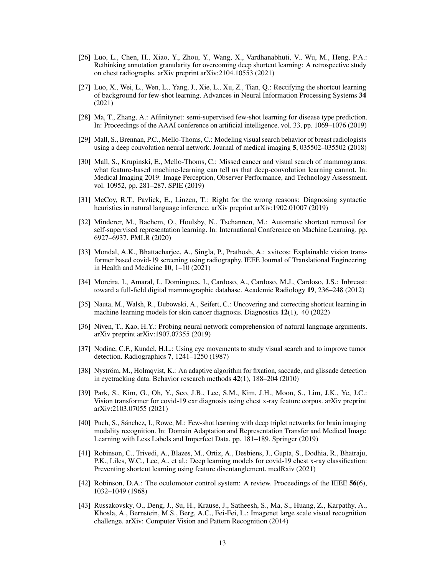- <span id="page-12-1"></span>[26] Luo, L., Chen, H., Xiao, Y., Zhou, Y., Wang, X., Vardhanabhuti, V., Wu, M., Heng, P.A.: Rethinking annotation granularity for overcoming deep shortcut learning: A retrospective study on chest radiographs. arXiv preprint arXiv:2104.10553 (2021)
- <span id="page-12-0"></span>[27] Luo, X., Wei, L., Wen, L., Yang, J., Xie, L., Xu, Z., Tian, Q.: Rectifying the shortcut learning of background for few-shot learning. Advances in Neural Information Processing Systems 34 (2021)
- <span id="page-12-13"></span>[28] Ma, T., Zhang, A.: Affinitynet: semi-supervised few-shot learning for disease type prediction. In: Proceedings of the AAAI conference on artificial intelligence. vol. 33, pp. 1069–1076 (2019)
- <span id="page-12-11"></span>[29] Mall, S., Brennan, P.C., Mello-Thoms, C.: Modeling visual search behavior of breast radiologists using a deep convolution neural network. Journal of medical imaging 5, 035502–035502 (2018)
- <span id="page-12-12"></span>[30] Mall, S., Krupinski, E., Mello-Thoms, C.: Missed cancer and visual search of mammograms: what feature-based machine-learning can tell us that deep-convolution learning cannot. In: Medical Imaging 2019: Image Perception, Observer Performance, and Technology Assessment. vol. 10952, pp. 281–287. SPIE (2019)
- <span id="page-12-5"></span>[31] McCoy, R.T., Pavlick, E., Linzen, T.: Right for the wrong reasons: Diagnosing syntactic heuristics in natural language inference. arXiv preprint arXiv:1902.01007 (2019)
- <span id="page-12-4"></span>[32] Minderer, M., Bachem, O., Houlsby, N., Tschannen, M.: Automatic shortcut removal for self-supervised representation learning. In: International Conference on Machine Learning. pp. 6927–6937. PMLR (2020)
- <span id="page-12-9"></span>[33] Mondal, A.K., Bhattacharjee, A., Singla, P., Prathosh, A.: xvitcos: Explainable vision transformer based covid-19 screening using radiography. IEEE Journal of Translational Engineering in Health and Medicine 10, 1–10 (2021)
- <span id="page-12-3"></span>[34] Moreira, I., Amaral, I., Domingues, I., Cardoso, A., Cardoso, M.J., Cardoso, J.S.: Inbreast: toward a full-field digital mammographic database. Academic Radiology 19, 236–248 (2012)
- <span id="page-12-7"></span>[35] Nauta, M., Walsh, R., Dubowski, A., Seifert, C.: Uncovering and correcting shortcut learning in machine learning models for skin cancer diagnosis. Diagnostics 12(1), 40 (2022)
- <span id="page-12-6"></span>[36] Niven, T., Kao, H.Y.: Probing neural network comprehension of natural language arguments. arXiv preprint arXiv:1907.07355 (2019)
- <span id="page-12-10"></span>[37] Nodine, C.F., Kundel, H.L.: Using eye movements to study visual search and to improve tumor detection. Radiographics 7, 1241–1250 (1987)
- <span id="page-12-17"></span>[38] Nyström, M., Holmqvist, K.: An adaptive algorithm for fixation, saccade, and glissade detection in eyetracking data. Behavior research methods 42(1), 188–204 (2010)
- <span id="page-12-8"></span>[39] Park, S., Kim, G., Oh, Y., Seo, J.B., Lee, S.M., Kim, J.H., Moon, S., Lim, J.K., Ye, J.C.: Vision transformer for covid-19 cxr diagnosis using chest x-ray feature corpus. arXiv preprint arXiv:2103.07055 (2021)
- <span id="page-12-14"></span>[40] Puch, S., Sánchez, I., Rowe, M.: Few-shot learning with deep triplet networks for brain imaging modality recognition. In: Domain Adaptation and Representation Transfer and Medical Image Learning with Less Labels and Imperfect Data, pp. 181–189. Springer (2019)
- <span id="page-12-2"></span>[41] Robinson, C., Trivedi, A., Blazes, M., Ortiz, A., Desbiens, J., Gupta, S., Dodhia, R., Bhatraju, P.K., Liles, W.C., Lee, A., et al.: Deep learning models for covid-19 chest x-ray classification: Preventing shortcut learning using feature disentanglement. medRxiv (2021)
- <span id="page-12-16"></span>[42] Robinson, D.A.: The oculomotor control system: A review. Proceedings of the IEEE 56(6), 1032–1049 (1968)
- <span id="page-12-15"></span>[43] Russakovsky, O., Deng, J., Su, H., Krause, J., Satheesh, S., Ma, S., Huang, Z., Karpathy, A., Khosla, A., Bernstein, M.S., Berg, A.C., Fei-Fei, L.: Imagenet large scale visual recognition challenge. arXiv: Computer Vision and Pattern Recognition (2014)